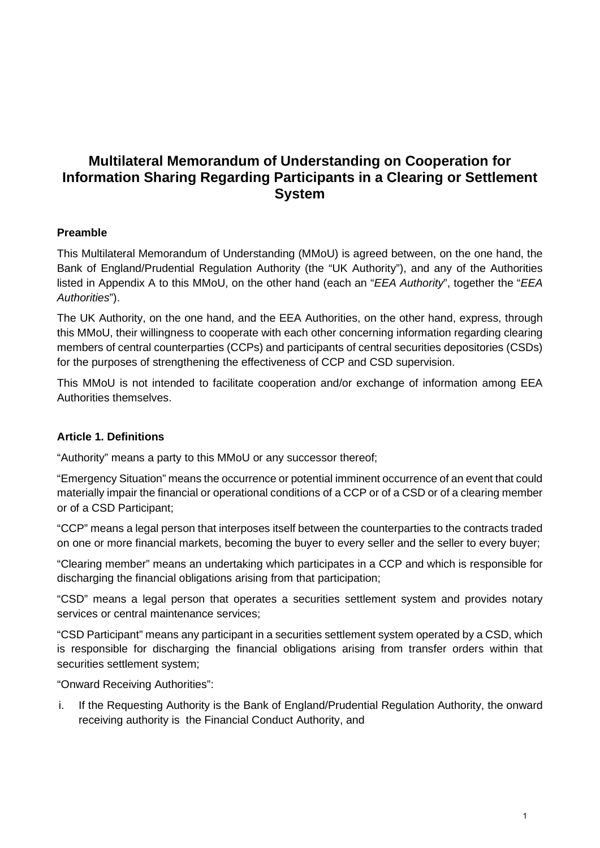# **Multilateral Memorandum of Understanding on Cooperation for Information Sharing Regarding Participants in a Clearing or Settlement System**

# **Preamble**

This Multilateral Memorandum of Understanding (MMoU) is agreed between, on the one hand, the Bank of England/Prudential Regulation Authority (the "UK Authority"), and any of the Authorities listed in Appendix A to this MMoU, on the other hand (each an "*EEA Authority*", together the "*EEA Authorities*").

The UK Authority, on the one hand, and the EEA Authorities, on the other hand, express, through this MMoU, their willingness to cooperate with each other concerning information regarding clearing members of central counterparties (CCPs) and participants of central securities depositories (CSDs) for the purposes of strengthening the effectiveness of CCP and CSD supervision.

This MMoU is not intended to facilitate cooperation and/or exchange of information among EEA Authorities themselves.

# **Article 1. Definitions**

"Authority" means a party to this MMoU or any successor thereof;

"Emergency Situation" means the occurrence or potential imminent occurrence of an event that could materially impair the financial or operational conditions of a CCP or of a CSD or of a clearing member or of a CSD Participant;

"CCP" means a legal person that interposes itself between the counterparties to the contracts traded on one or more financial markets, becoming the buyer to every seller and the seller to every buyer;

"Clearing member" means an undertaking which participates in a CCP and which is responsible for discharging the financial obligations arising from that participation;

"CSD" means a legal person that operates a securities settlement system and provides notary services or central maintenance services;

"CSD Participant" means any participant in a securities settlement system operated by a CSD, which is responsible for discharging the financial obligations arising from transfer orders within that securities settlement system;

"Onward Receiving Authorities":

i. If the Requesting Authority is the Bank of England/Prudential Regulation Authority, the onward receiving authority is the Financial Conduct Authority, and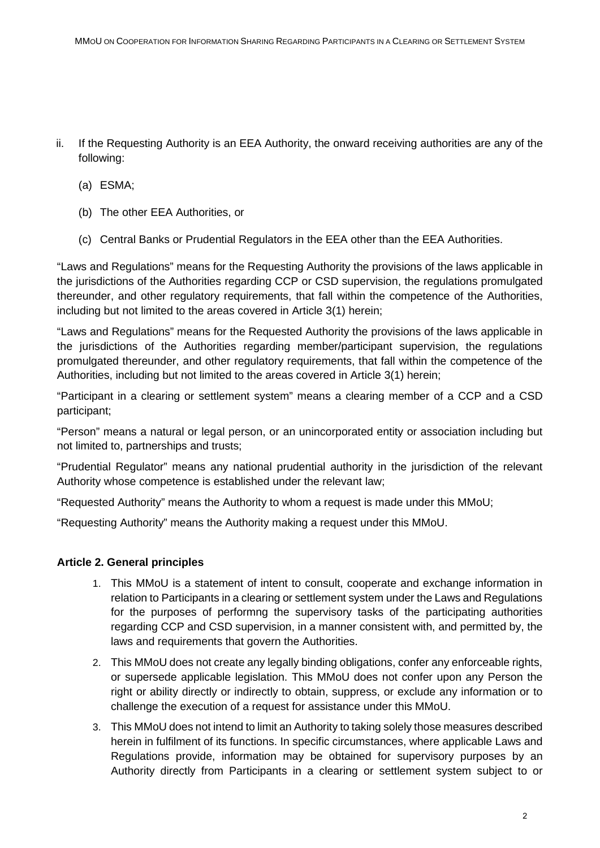- ii. If the Requesting Authority is an EEA Authority, the onward receiving authorities are any of the following:
	- (a) ESMA;
	- (b) The other EEA Authorities, or
	- (c) Central Banks or Prudential Regulators in the EEA other than the EEA Authorities.

"Laws and Regulations" means for the Requesting Authority the provisions of the laws applicable in the jurisdictions of the Authorities regarding CCP or CSD supervision, the regulations promulgated thereunder, and other regulatory requirements, that fall within the competence of the Authorities, including but not limited to the areas covered in Article 3(1) herein;

"Laws and Regulations" means for the Requested Authority the provisions of the laws applicable in the jurisdictions of the Authorities regarding member/participant supervision, the regulations promulgated thereunder, and other regulatory requirements, that fall within the competence of the Authorities, including but not limited to the areas covered in Article 3(1) herein;

"Participant in a clearing or settlement system" means a clearing member of a CCP and a CSD participant;

"Person" means a natural or legal person, or an unincorporated entity or association including but not limited to, partnerships and trusts;

"Prudential Regulator" means any national prudential authority in the jurisdiction of the relevant Authority whose competence is established under the relevant law;

"Requested Authority" means the Authority to whom a request is made under this MMoU;

"Requesting Authority" means the Authority making a request under this MMoU.

## **Article 2. General principles**

- 1. This MMoU is a statement of intent to consult, cooperate and exchange information in relation to Participants in a clearing or settlement system under the Laws and Regulations for the purposes of performng the supervisory tasks of the participating authorities regarding CCP and CSD supervision, in a manner consistent with, and permitted by, the laws and requirements that govern the Authorities.
- 2. This MMoU does not create any legally binding obligations, confer any enforceable rights, or supersede applicable legislation. This MMoU does not confer upon any Person the right or ability directly or indirectly to obtain, suppress, or exclude any information or to challenge the execution of a request for assistance under this MMoU.
- 3. This MMoU does not intend to limit an Authority to taking solely those measures described herein in fulfilment of its functions. In specific circumstances, where applicable Laws and Regulations provide, information may be obtained for supervisory purposes by an Authority directly from Participants in a clearing or settlement system subject to or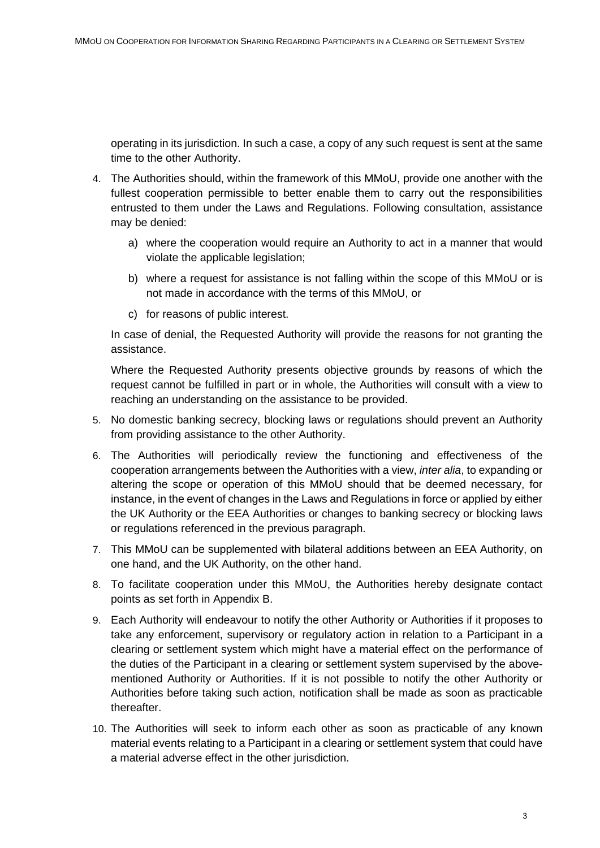operating in its jurisdiction. In such a case, a copy of any such request is sent at the same time to the other Authority.

- 4. The Authorities should, within the framework of this MMoU, provide one another with the fullest cooperation permissible to better enable them to carry out the responsibilities entrusted to them under the Laws and Regulations. Following consultation, assistance may be denied:
	- a) where the cooperation would require an Authority to act in a manner that would violate the applicable legislation;
	- b) where a request for assistance is not falling within the scope of this MMoU or is not made in accordance with the terms of this MMoU, or
	- c) for reasons of public interest.

In case of denial, the Requested Authority will provide the reasons for not granting the assistance.

Where the Requested Authority presents objective grounds by reasons of which the request cannot be fulfilled in part or in whole, the Authorities will consult with a view to reaching an understanding on the assistance to be provided.

- 5. No domestic banking secrecy, blocking laws or regulations should prevent an Authority from providing assistance to the other Authority.
- 6. The Authorities will periodically review the functioning and effectiveness of the cooperation arrangements between the Authorities with a view, *inter alia*, to expanding or altering the scope or operation of this MMoU should that be deemed necessary, for instance, in the event of changes in the Laws and Regulations in force or applied by either the UK Authority or the EEA Authorities or changes to banking secrecy or blocking laws or regulations referenced in the previous paragraph.
- 7. This MMoU can be supplemented with bilateral additions between an EEA Authority, on one hand, and the UK Authority, on the other hand.
- 8. To facilitate cooperation under this MMoU, the Authorities hereby designate contact points as set forth in Appendix B.
- 9. Each Authority will endeavour to notify the other Authority or Authorities if it proposes to take any enforcement, supervisory or regulatory action in relation to a Participant in a clearing or settlement system which might have a material effect on the performance of the duties of the Participant in a clearing or settlement system supervised by the abovementioned Authority or Authorities. If it is not possible to notify the other Authority or Authorities before taking such action, notification shall be made as soon as practicable thereafter.
- 10. The Authorities will seek to inform each other as soon as practicable of any known material events relating to a Participant in a clearing or settlement system that could have a material adverse effect in the other jurisdiction.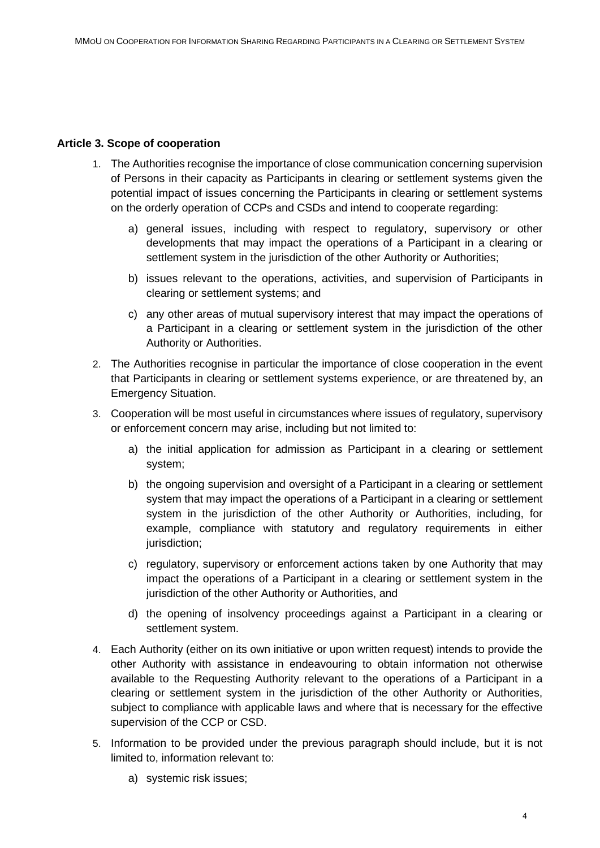## **Article 3. Scope of cooperation**

- 1. The Authorities recognise the importance of close communication concerning supervision of Persons in their capacity as Participants in clearing or settlement systems given the potential impact of issues concerning the Participants in clearing or settlement systems on the orderly operation of CCPs and CSDs and intend to cooperate regarding:
	- a) general issues, including with respect to regulatory, supervisory or other developments that may impact the operations of a Participant in a clearing or settlement system in the jurisdiction of the other Authority or Authorities;
	- b) issues relevant to the operations, activities, and supervision of Participants in clearing or settlement systems; and
	- c) any other areas of mutual supervisory interest that may impact the operations of a Participant in a clearing or settlement system in the jurisdiction of the other Authority or Authorities.
- 2. The Authorities recognise in particular the importance of close cooperation in the event that Participants in clearing or settlement systems experience, or are threatened by, an Emergency Situation.
- 3. Cooperation will be most useful in circumstances where issues of regulatory, supervisory or enforcement concern may arise, including but not limited to:
	- a) the initial application for admission as Participant in a clearing or settlement system;
	- b) the ongoing supervision and oversight of a Participant in a clearing or settlement system that may impact the operations of a Participant in a clearing or settlement system in the jurisdiction of the other Authority or Authorities, including, for example, compliance with statutory and regulatory requirements in either jurisdiction;
	- c) regulatory, supervisory or enforcement actions taken by one Authority that may impact the operations of a Participant in a clearing or settlement system in the jurisdiction of the other Authority or Authorities, and
	- d) the opening of insolvency proceedings against a Participant in a clearing or settlement system.
- 4. Each Authority (either on its own initiative or upon written request) intends to provide the other Authority with assistance in endeavouring to obtain information not otherwise available to the Requesting Authority relevant to the operations of a Participant in a clearing or settlement system in the jurisdiction of the other Authority or Authorities, subject to compliance with applicable laws and where that is necessary for the effective supervision of the CCP or CSD.
- 5. Information to be provided under the previous paragraph should include, but it is not limited to, information relevant to:
	- a) systemic risk issues;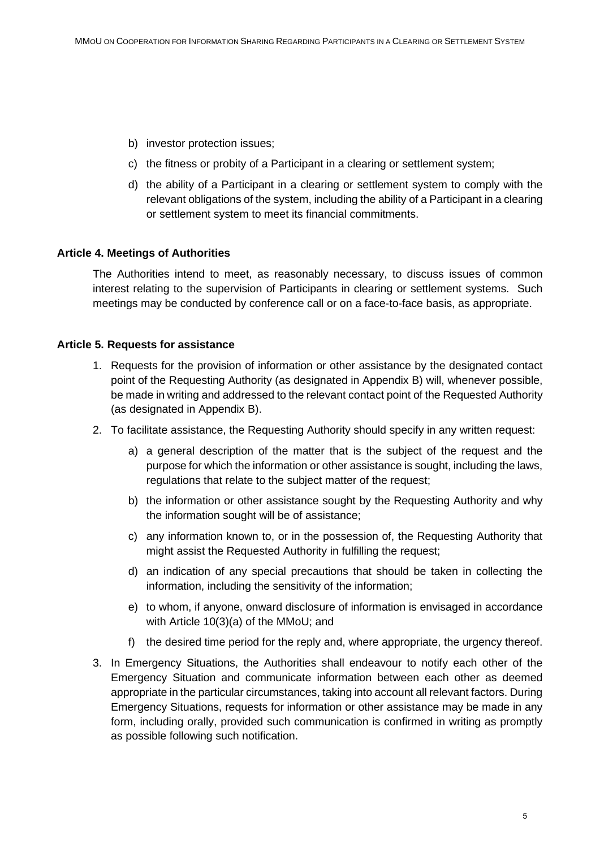- b) investor protection issues;
- c) the fitness or probity of a Participant in a clearing or settlement system;
- d) the ability of a Participant in a clearing or settlement system to comply with the relevant obligations of the system, including the ability of a Participant in a clearing or settlement system to meet its financial commitments.

#### **Article 4. Meetings of Authorities**

The Authorities intend to meet, as reasonably necessary, to discuss issues of common interest relating to the supervision of Participants in clearing or settlement systems. Such meetings may be conducted by conference call or on a face-to-face basis, as appropriate.

#### **Article 5. Requests for assistance**

- 1. Requests for the provision of information or other assistance by the designated contact point of the Requesting Authority (as designated in Appendix B) will, whenever possible, be made in writing and addressed to the relevant contact point of the Requested Authority (as designated in Appendix B).
- 2. To facilitate assistance, the Requesting Authority should specify in any written request:
	- a) a general description of the matter that is the subject of the request and the purpose for which the information or other assistance is sought, including the laws, regulations that relate to the subject matter of the request;
	- b) the information or other assistance sought by the Requesting Authority and why the information sought will be of assistance;
	- c) any information known to, or in the possession of, the Requesting Authority that might assist the Requested Authority in fulfilling the request;
	- d) an indication of any special precautions that should be taken in collecting the information, including the sensitivity of the information;
	- e) to whom, if anyone, onward disclosure of information is envisaged in accordance with Article 10(3)(a) of the MMoU; and
	- f) the desired time period for the reply and, where appropriate, the urgency thereof.
- 3. In Emergency Situations, the Authorities shall endeavour to notify each other of the Emergency Situation and communicate information between each other as deemed appropriate in the particular circumstances, taking into account all relevant factors. During Emergency Situations, requests for information or other assistance may be made in any form, including orally, provided such communication is confirmed in writing as promptly as possible following such notification.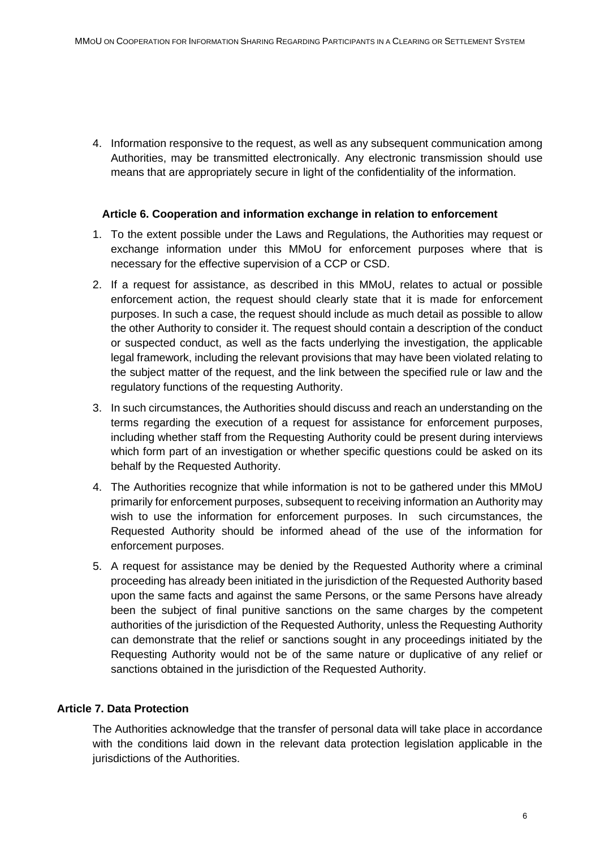4. Information responsive to the request, as well as any subsequent communication among Authorities, may be transmitted electronically. Any electronic transmission should use means that are appropriately secure in light of the confidentiality of the information.

#### **Article 6. Cooperation and information exchange in relation to enforcement**

- 1. To the extent possible under the Laws and Regulations, the Authorities may request or exchange information under this MMoU for enforcement purposes where that is necessary for the effective supervision of a CCP or CSD.
- 2. If a request for assistance, as described in this MMoU, relates to actual or possible enforcement action, the request should clearly state that it is made for enforcement purposes. In such a case, the request should include as much detail as possible to allow the other Authority to consider it. The request should contain a description of the conduct or suspected conduct, as well as the facts underlying the investigation, the applicable legal framework, including the relevant provisions that may have been violated relating to the subject matter of the request, and the link between the specified rule or law and the regulatory functions of the requesting Authority.
- 3. In such circumstances, the Authorities should discuss and reach an understanding on the terms regarding the execution of a request for assistance for enforcement purposes, including whether staff from the Requesting Authority could be present during interviews which form part of an investigation or whether specific questions could be asked on its behalf by the Requested Authority.
- 4. The Authorities recognize that while information is not to be gathered under this MMoU primarily for enforcement purposes, subsequent to receiving information an Authority may wish to use the information for enforcement purposes. In such circumstances, the Requested Authority should be informed ahead of the use of the information for enforcement purposes.
- 5. A request for assistance may be denied by the Requested Authority where a criminal proceeding has already been initiated in the jurisdiction of the Requested Authority based upon the same facts and against the same Persons, or the same Persons have already been the subject of final punitive sanctions on the same charges by the competent authorities of the jurisdiction of the Requested Authority, unless the Requesting Authority can demonstrate that the relief or sanctions sought in any proceedings initiated by the Requesting Authority would not be of the same nature or duplicative of any relief or sanctions obtained in the jurisdiction of the Requested Authority.

## **Article 7. Data Protection**

The Authorities acknowledge that the transfer of personal data will take place in accordance with the conditions laid down in the relevant data protection legislation applicable in the jurisdictions of the Authorities.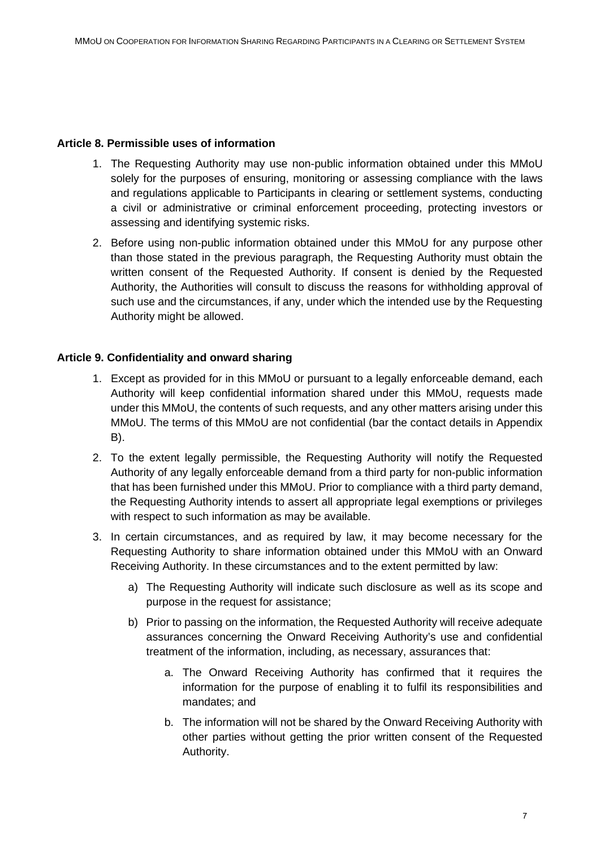## **Article 8. Permissible uses of information**

- 1. The Requesting Authority may use non-public information obtained under this MMoU solely for the purposes of ensuring, monitoring or assessing compliance with the laws and regulations applicable to Participants in clearing or settlement systems, conducting a civil or administrative or criminal enforcement proceeding, protecting investors or assessing and identifying systemic risks.
- 2. Before using non-public information obtained under this MMoU for any purpose other than those stated in the previous paragraph, the Requesting Authority must obtain the written consent of the Requested Authority. If consent is denied by the Requested Authority, the Authorities will consult to discuss the reasons for withholding approval of such use and the circumstances, if any, under which the intended use by the Requesting Authority might be allowed.

## **Article 9. Confidentiality and onward sharing**

- 1. Except as provided for in this MMoU or pursuant to a legally enforceable demand, each Authority will keep confidential information shared under this MMoU, requests made under this MMoU, the contents of such requests, and any other matters arising under this MMoU. The terms of this MMoU are not confidential (bar the contact details in Appendix B).
- 2. To the extent legally permissible, the Requesting Authority will notify the Requested Authority of any legally enforceable demand from a third party for non-public information that has been furnished under this MMoU. Prior to compliance with a third party demand, the Requesting Authority intends to assert all appropriate legal exemptions or privileges with respect to such information as may be available.
- 3. In certain circumstances, and as required by law, it may become necessary for the Requesting Authority to share information obtained under this MMoU with an Onward Receiving Authority. In these circumstances and to the extent permitted by law:
	- a) The Requesting Authority will indicate such disclosure as well as its scope and purpose in the request for assistance;
	- b) Prior to passing on the information, the Requested Authority will receive adequate assurances concerning the Onward Receiving Authority's use and confidential treatment of the information, including, as necessary, assurances that:
		- a. The Onward Receiving Authority has confirmed that it requires the information for the purpose of enabling it to fulfil its responsibilities and mandates; and
		- b. The information will not be shared by the Onward Receiving Authority with other parties without getting the prior written consent of the Requested Authority.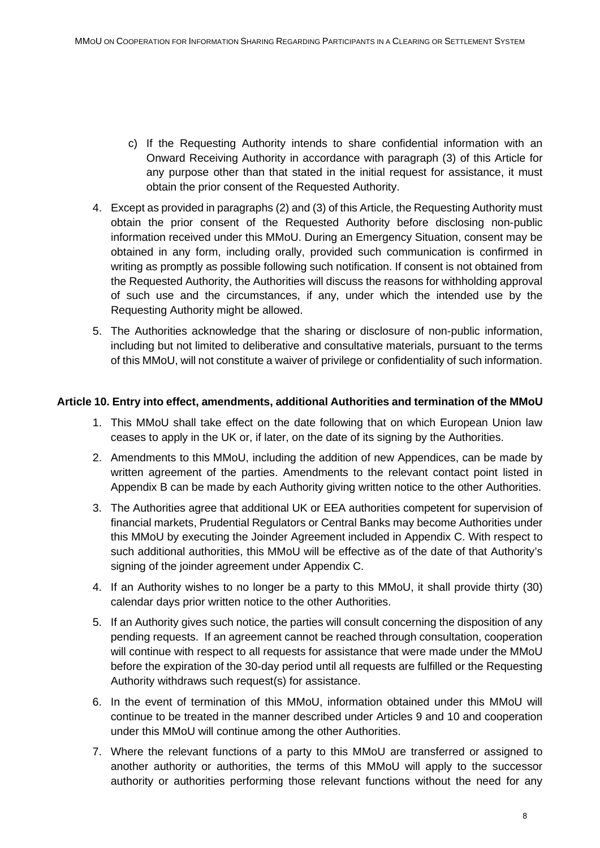- c) If the Requesting Authority intends to share confidential information with an Onward Receiving Authority in accordance with paragraph (3) of this Article for any purpose other than that stated in the initial request for assistance, it must obtain the prior consent of the Requested Authority.
- 4. Except as provided in paragraphs (2) and (3) of this Article, the Requesting Authority must obtain the prior consent of the Requested Authority before disclosing non-public information received under this MMoU. During an Emergency Situation, consent may be obtained in any form, including orally, provided such communication is confirmed in writing as promptly as possible following such notification. If consent is not obtained from the Requested Authority, the Authorities will discuss the reasons for withholding approval of such use and the circumstances, if any, under which the intended use by the Requesting Authority might be allowed.
- 5. The Authorities acknowledge that the sharing or disclosure of non-public information, including but not limited to deliberative and consultative materials, pursuant to the terms of this MMoU, will not constitute a waiver of privilege or confidentiality of such information.

## **Article 10. Entry into effect, amendments, additional Authorities and termination of the MMoU**

- 1. This MMoU shall take effect on the date following that on which European Union law ceases to apply in the UK or, if later, on the date of its signing by the Authorities.
- 2. Amendments to this MMoU, including the addition of new Appendices, can be made by written agreement of the parties. Amendments to the relevant contact point listed in Appendix B can be made by each Authority giving written notice to the other Authorities.
- 3. The Authorities agree that additional UK or EEA authorities competent for supervision of financial markets, Prudential Regulators or Central Banks may become Authorities under this MMoU by executing the Joinder Agreement included in Appendix C. With respect to such additional authorities, this MMoU will be effective as of the date of that Authority's signing of the joinder agreement under Appendix C.
- 4. If an Authority wishes to no longer be a party to this MMoU, it shall provide thirty (30) calendar days prior written notice to the other Authorities.
- 5. If an Authority gives such notice, the parties will consult concerning the disposition of any pending requests. If an agreement cannot be reached through consultation, cooperation will continue with respect to all requests for assistance that were made under the MMoU before the expiration of the 30-day period until all requests are fulfilled or the Requesting Authority withdraws such request(s) for assistance.
- 6. In the event of termination of this MMoU, information obtained under this MMoU will continue to be treated in the manner described under Articles 9 and 10 and cooperation under this MMoU will continue among the other Authorities.
- 7. Where the relevant functions of a party to this MMoU are transferred or assigned to another authority or authorities, the terms of this MMoU will apply to the successor authority or authorities performing those relevant functions without the need for any